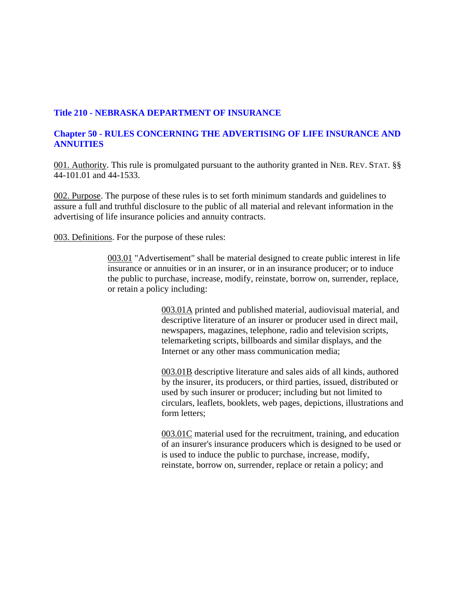# **Title 210 - NEBRASKA DEPARTMENT OF INSURANCE**

## **Chapter 50 - RULES CONCERNING THE ADVERTISING OF LIFE INSURANCE AND ANNUITIES**

001. Authority. This rule is promulgated pursuant to the authority granted in NEB. REV. STAT. §§ 44-101.01 and 44-1533.

002. Purpose. The purpose of these rules is to set forth minimum standards and guidelines to assure a full and truthful disclosure to the public of all material and relevant information in the advertising of life insurance policies and annuity contracts.

003. Definitions. For the purpose of these rules:

003.01 "Advertisement" shall be material designed to create public interest in life insurance or annuities or in an insurer, or in an insurance producer; or to induce the public to purchase, increase, modify, reinstate, borrow on, surrender, replace, or retain a policy including:

> 003.01A printed and published material, audiovisual material, and descriptive literature of an insurer or producer used in direct mail, newspapers, magazines, telephone, radio and television scripts, telemarketing scripts, billboards and similar displays, and the Internet or any other mass communication media;

003.01B descriptive literature and sales aids of all kinds, authored by the insurer, its producers, or third parties, issued, distributed or used by such insurer or producer; including but not limited to circulars, leaflets, booklets, web pages, depictions, illustrations and form letters;

003.01C material used for the recruitment, training, and education of an insurer's insurance producers which is designed to be used or is used to induce the public to purchase, increase, modify, reinstate, borrow on, surrender, replace or retain a policy; and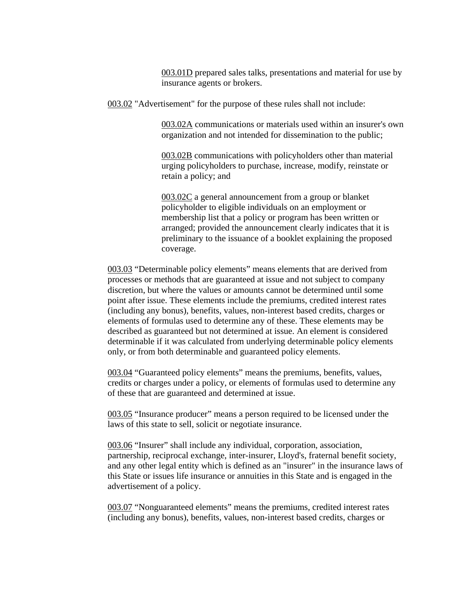003.01D prepared sales talks, presentations and material for use by insurance agents or brokers.

003.02 "Advertisement" for the purpose of these rules shall not include:

003.02A communications or materials used within an insurer's own organization and not intended for dissemination to the public;

003.02B communications with policyholders other than material urging policyholders to purchase, increase, modify, reinstate or retain a policy; and

003.02C a general announcement from a group or blanket policyholder to eligible individuals on an employment or membership list that a policy or program has been written or arranged; provided the announcement clearly indicates that it is preliminary to the issuance of a booklet explaining the proposed coverage.

003.03 "Determinable policy elements" means elements that are derived from processes or methods that are guaranteed at issue and not subject to company discretion, but where the values or amounts cannot be determined until some point after issue. These elements include the premiums, credited interest rates (including any bonus), benefits, values, non-interest based credits, charges or elements of formulas used to determine any of these. These elements may be described as guaranteed but not determined at issue. An element is considered determinable if it was calculated from underlying determinable policy elements only, or from both determinable and guaranteed policy elements.

003.04 "Guaranteed policy elements" means the premiums, benefits, values, credits or charges under a policy, or elements of formulas used to determine any of these that are guaranteed and determined at issue.

003.05 "Insurance producer" means a person required to be licensed under the laws of this state to sell, solicit or negotiate insurance.

003.06 "Insurer" shall include any individual, corporation, association, partnership, reciprocal exchange, inter-insurer, Lloyd's, fraternal benefit society, and any other legal entity which is defined as an "insurer" in the insurance laws of this State or issues life insurance or annuities in this State and is engaged in the advertisement of a policy.

003.07 "Nonguaranteed elements" means the premiums, credited interest rates (including any bonus), benefits, values, non-interest based credits, charges or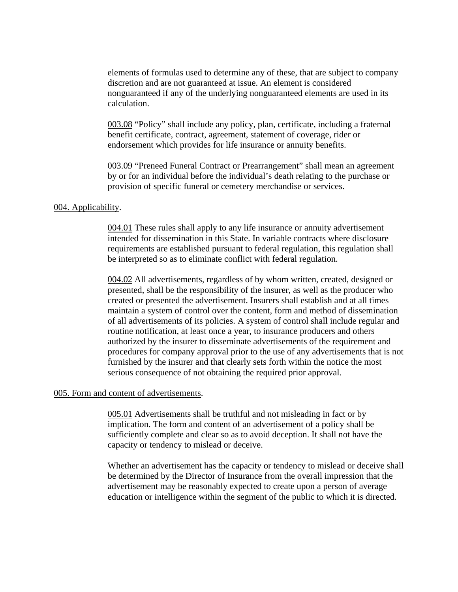elements of formulas used to determine any of these, that are subject to company discretion and are not guaranteed at issue. An element is considered nonguaranteed if any of the underlying nonguaranteed elements are used in its calculation.

003.08 "Policy" shall include any policy, plan, certificate, including a fraternal benefit certificate, contract, agreement, statement of coverage, rider or endorsement which provides for life insurance or annuity benefits.

003.09 "Preneed Funeral Contract or Prearrangement" shall mean an agreement by or for an individual before the individual's death relating to the purchase or provision of specific funeral or cemetery merchandise or services.

#### 004. Applicability.

004.01 These rules shall apply to any life insurance or annuity advertisement intended for dissemination in this State. In variable contracts where disclosure requirements are established pursuant to federal regulation, this regulation shall be interpreted so as to eliminate conflict with federal regulation.

004.02 All advertisements, regardless of by whom written, created, designed or presented, shall be the responsibility of the insurer, as well as the producer who created or presented the advertisement. Insurers shall establish and at all times maintain a system of control over the content, form and method of dissemination of all advertisements of its policies. A system of control shall include regular and routine notification, at least once a year, to insurance producers and others authorized by the insurer to disseminate advertisements of the requirement and procedures for company approval prior to the use of any advertisements that is not furnished by the insurer and that clearly sets forth within the notice the most serious consequence of not obtaining the required prior approval.

#### 005. Form and content of advertisements.

005.01 Advertisements shall be truthful and not misleading in fact or by implication. The form and content of an advertisement of a policy shall be sufficiently complete and clear so as to avoid deception. It shall not have the capacity or tendency to mislead or deceive.

Whether an advertisement has the capacity or tendency to mislead or deceive shall be determined by the Director of Insurance from the overall impression that the advertisement may be reasonably expected to create upon a person of average education or intelligence within the segment of the public to which it is directed.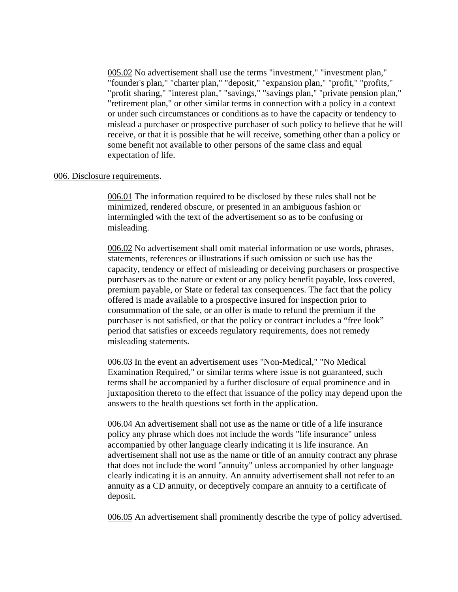005.02 No advertisement shall use the terms "investment," "investment plan," "founder's plan," "charter plan," "deposit," "expansion plan," "profit," "profits," "profit sharing," "interest plan," "savings," "savings plan," "private pension plan," "retirement plan," or other similar terms in connection with a policy in a context or under such circumstances or conditions as to have the capacity or tendency to mislead a purchaser or prospective purchaser of such policy to believe that he will receive, or that it is possible that he will receive, something other than a policy or some benefit not available to other persons of the same class and equal expectation of life.

#### 006. Disclosure requirements.

006.01 The information required to be disclosed by these rules shall not be minimized, rendered obscure, or presented in an ambiguous fashion or intermingled with the text of the advertisement so as to be confusing or misleading.

006.02 No advertisement shall omit material information or use words, phrases, statements, references or illustrations if such omission or such use has the capacity, tendency or effect of misleading or deceiving purchasers or prospective purchasers as to the nature or extent or any policy benefit payable, loss covered, premium payable, or State or federal tax consequences. The fact that the policy offered is made available to a prospective insured for inspection prior to consummation of the sale, or an offer is made to refund the premium if the purchaser is not satisfied, or that the policy or contract includes a "free look" period that satisfies or exceeds regulatory requirements, does not remedy misleading statements.

006.03 In the event an advertisement uses "Non-Medical," "No Medical Examination Required," or similar terms where issue is not guaranteed, such terms shall be accompanied by a further disclosure of equal prominence and in juxtaposition thereto to the effect that issuance of the policy may depend upon the answers to the health questions set forth in the application.

006.04 An advertisement shall not use as the name or title of a life insurance policy any phrase which does not include the words "life insurance" unless accompanied by other language clearly indicating it is life insurance. An advertisement shall not use as the name or title of an annuity contract any phrase that does not include the word "annuity" unless accompanied by other language clearly indicating it is an annuity. An annuity advertisement shall not refer to an annuity as a CD annuity, or deceptively compare an annuity to a certificate of deposit.

006.05 An advertisement shall prominently describe the type of policy advertised.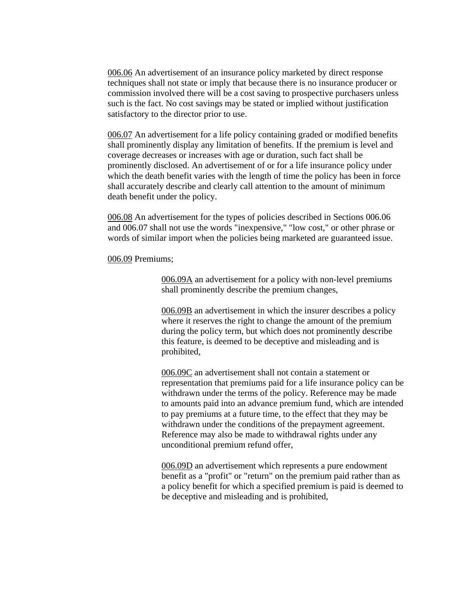006.06 An advertisement of an insurance policy marketed by direct response techniques shall not state or imply that because there is no insurance producer or commission involved there will be a cost saving to prospective purchasers unless such is the fact. No cost savings may be stated or implied without justification satisfactory to the director prior to use.

006.07 An advertisement for a life policy containing graded or modified benefits shall prominently display any limitation of benefits. If the premium is level and coverage decreases or increases with age or duration, such fact shall be prominently disclosed. An advertisement of or for a life insurance policy under which the death benefit varies with the length of time the policy has been in force shall accurately describe and clearly call attention to the amount of minimum death benefit under the policy.

006.08 An advertisement for the types of policies described in Sections 006.06 and 006.07 shall not use the words "inexpensive," "low cost," or other phrase or words of similar import when the policies being marketed are guaranteed issue.

006.09 Premiums;

006.09A an advertisement for a policy with non-level premiums shall prominently describe the premium changes,

006.09B an advertisement in which the insurer describes a policy where it reserves the right to change the amount of the premium during the policy term, but which does not prominently describe this feature, is deemed to be deceptive and misleading and is prohibited,

006.09C an advertisement shall not contain a statement or representation that premiums paid for a life insurance policy can be withdrawn under the terms of the policy. Reference may be made to amounts paid into an advance premium fund, which are intended to pay premiums at a future time, to the effect that they may be withdrawn under the conditions of the prepayment agreement. Reference may also be made to withdrawal rights under any unconditional premium refund offer,

006.09D an advertisement which represents a pure endowment benefit as a "profit" or "return" on the premium paid rather than as a policy benefit for which a specified premium is paid is deemed to be deceptive and misleading and is prohibited,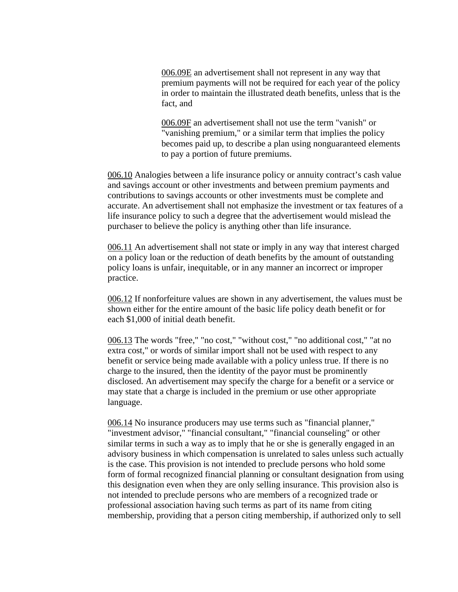006.09E an advertisement shall not represent in any way that premium payments will not be required for each year of the policy in order to maintain the illustrated death benefits, unless that is the fact, and

006.09F an advertisement shall not use the term "vanish" or "vanishing premium," or a similar term that implies the policy becomes paid up, to describe a plan using nonguaranteed elements to pay a portion of future premiums.

006.10 Analogies between a life insurance policy or annuity contract's cash value and savings account or other investments and between premium payments and contributions to savings accounts or other investments must be complete and accurate. An advertisement shall not emphasize the investment or tax features of a life insurance policy to such a degree that the advertisement would mislead the purchaser to believe the policy is anything other than life insurance.

006.11 An advertisement shall not state or imply in any way that interest charged on a policy loan or the reduction of death benefits by the amount of outstanding policy loans is unfair, inequitable, or in any manner an incorrect or improper practice.

006.12 If nonforfeiture values are shown in any advertisement, the values must be shown either for the entire amount of the basic life policy death benefit or for each \$1,000 of initial death benefit.

006.13 The words "free," "no cost," "without cost," "no additional cost," "at no extra cost," or words of similar import shall not be used with respect to any benefit or service being made available with a policy unless true. If there is no charge to the insured, then the identity of the payor must be prominently disclosed. An advertisement may specify the charge for a benefit or a service or may state that a charge is included in the premium or use other appropriate language.

006.14 No insurance producers may use terms such as "financial planner," "investment advisor," "financial consultant," "financial counseling" or other similar terms in such a way as to imply that he or she is generally engaged in an advisory business in which compensation is unrelated to sales unless such actually is the case. This provision is not intended to preclude persons who hold some form of formal recognized financial planning or consultant designation from using this designation even when they are only selling insurance. This provision also is not intended to preclude persons who are members of a recognized trade or professional association having such terms as part of its name from citing membership, providing that a person citing membership, if authorized only to sell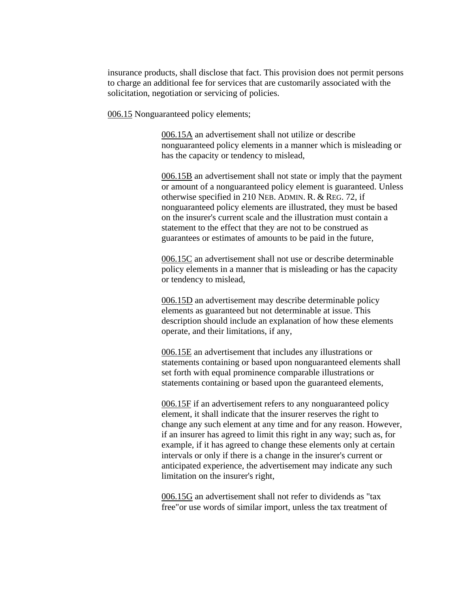insurance products, shall disclose that fact. This provision does not permit persons to charge an additional fee for services that are customarily associated with the solicitation, negotiation or servicing of policies.

006.15 Nonguaranteed policy elements;

006.15A an advertisement shall not utilize or describe nonguaranteed policy elements in a manner which is misleading or has the capacity or tendency to mislead,

006.15B an advertisement shall not state or imply that the payment or amount of a nonguaranteed policy element is guaranteed. Unless otherwise specified in 210 NEB. ADMIN. R. & REG. 72, if nonguaranteed policy elements are illustrated, they must be based on the insurer's current scale and the illustration must contain a statement to the effect that they are not to be construed as guarantees or estimates of amounts to be paid in the future,

006.15C an advertisement shall not use or describe determinable policy elements in a manner that is misleading or has the capacity or tendency to mislead,

006.15D an advertisement may describe determinable policy elements as guaranteed but not determinable at issue. This description should include an explanation of how these elements operate, and their limitations, if any,

006.15E an advertisement that includes any illustrations or statements containing or based upon nonguaranteed elements shall set forth with equal prominence comparable illustrations or statements containing or based upon the guaranteed elements,

006.15F if an advertisement refers to any nonguaranteed policy element, it shall indicate that the insurer reserves the right to change any such element at any time and for any reason. However, if an insurer has agreed to limit this right in any way; such as, for example, if it has agreed to change these elements only at certain intervals or only if there is a change in the insurer's current or anticipated experience, the advertisement may indicate any such limitation on the insurer's right,

006.15G an advertisement shall not refer to dividends as "tax free"or use words of similar import, unless the tax treatment of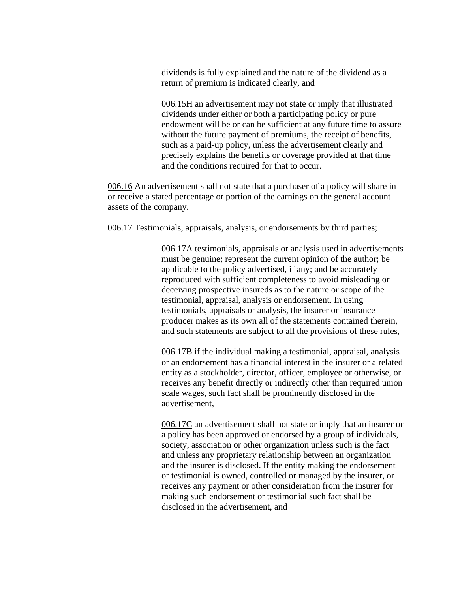dividends is fully explained and the nature of the dividend as a return of premium is indicated clearly, and

006.15H an advertisement may not state or imply that illustrated dividends under either or both a participating policy or pure endowment will be or can be sufficient at any future time to assure without the future payment of premiums, the receipt of benefits, such as a paid-up policy, unless the advertisement clearly and precisely explains the benefits or coverage provided at that time and the conditions required for that to occur.

006.16 An advertisement shall not state that a purchaser of a policy will share in or receive a stated percentage or portion of the earnings on the general account assets of the company.

006.17 Testimonials, appraisals, analysis, or endorsements by third parties;

006.17A testimonials, appraisals or analysis used in advertisements must be genuine; represent the current opinion of the author; be applicable to the policy advertised, if any; and be accurately reproduced with sufficient completeness to avoid misleading or deceiving prospective insureds as to the nature or scope of the testimonial, appraisal, analysis or endorsement. In using testimonials, appraisals or analysis, the insurer or insurance producer makes as its own all of the statements contained therein, and such statements are subject to all the provisions of these rules,

006.17B if the individual making a testimonial, appraisal, analysis or an endorsement has a financial interest in the insurer or a related entity as a stockholder, director, officer, employee or otherwise, or receives any benefit directly or indirectly other than required union scale wages, such fact shall be prominently disclosed in the advertisement,

006.17C an advertisement shall not state or imply that an insurer or a policy has been approved or endorsed by a group of individuals, society, association or other organization unless such is the fact and unless any proprietary relationship between an organization and the insurer is disclosed. If the entity making the endorsement or testimonial is owned, controlled or managed by the insurer, or receives any payment or other consideration from the insurer for making such endorsement or testimonial such fact shall be disclosed in the advertisement, and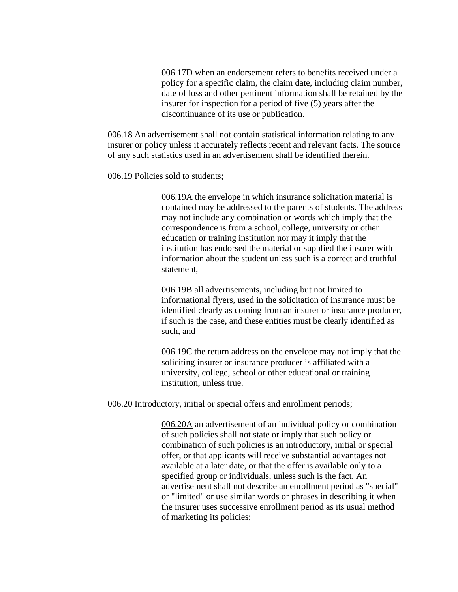006.17D when an endorsement refers to benefits received under a policy for a specific claim, the claim date, including claim number, date of loss and other pertinent information shall be retained by the insurer for inspection for a period of five (5) years after the discontinuance of its use or publication.

006.18 An advertisement shall not contain statistical information relating to any insurer or policy unless it accurately reflects recent and relevant facts. The source of any such statistics used in an advertisement shall be identified therein.

006.19 Policies sold to students;

006.19A the envelope in which insurance solicitation material is contained may be addressed to the parents of students. The address may not include any combination or words which imply that the correspondence is from a school, college, university or other education or training institution nor may it imply that the institution has endorsed the material or supplied the insurer with information about the student unless such is a correct and truthful statement,

006.19B all advertisements, including but not limited to informational flyers, used in the solicitation of insurance must be identified clearly as coming from an insurer or insurance producer, if such is the case, and these entities must be clearly identified as such, and

006.19C the return address on the envelope may not imply that the soliciting insurer or insurance producer is affiliated with a university, college, school or other educational or training institution, unless true.

006.20 Introductory, initial or special offers and enrollment periods;

006.20A an advertisement of an individual policy or combination of such policies shall not state or imply that such policy or combination of such policies is an introductory, initial or special offer, or that applicants will receive substantial advantages not available at a later date, or that the offer is available only to a specified group or individuals, unless such is the fact. An advertisement shall not describe an enrollment period as "special" or "limited" or use similar words or phrases in describing it when the insurer uses successive enrollment period as its usual method of marketing its policies;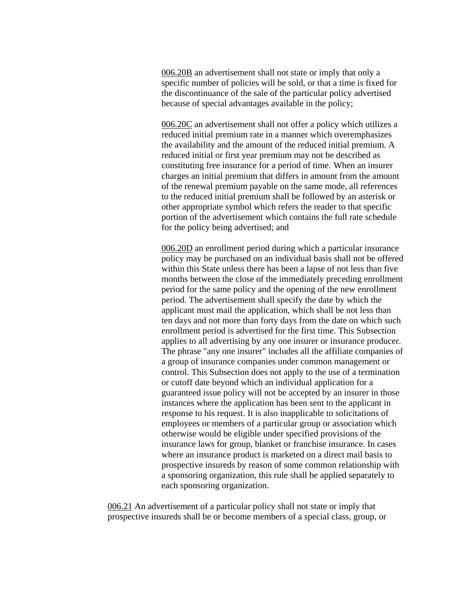006.20B an advertisement shall not state or imply that only a specific number of policies will be sold, or that a time is fixed for the discontinuance of the sale of the particular policy advertised because of special advantages available in the policy;

006.20C an advertisement shall not offer a policy which utilizes a reduced initial premium rate in a manner which overemphasizes the availability and the amount of the reduced initial premium. A reduced initial or first year premium may not be described as constituting free insurance for a period of time. When an insurer charges an initial premium that differs in amount from the amount of the renewal premium payable on the same mode, all references to the reduced initial premium shall be followed by an asterisk or other appropriate symbol which refers the reader to that specific portion of the advertisement which contains the full rate schedule for the policy being advertised; and

006.20D an enrollment period during which a particular insurance policy may be purchased on an individual basis shall not be offered within this State unless there has been a lapse of not less than five months between the close of the immediately preceding enrollment period for the same policy and the opening of the new enrollment period. The advertisement shall specify the date by which the applicant must mail the application, which shall be not less than ten days and not more than forty days from the date on which such enrollment period is advertised for the first time. This Subsection applies to all advertising by any one insurer or insurance producer. The phrase "any one insurer" includes all the affiliate companies of a group of insurance companies under common management or control. This Subsection does not apply to the use of a termination or cutoff date beyond which an individual application for a guaranteed issue policy will not be accepted by an insurer in those instances where the application has been sent to the applicant in response to his request. It is also inapplicable to solicitations of employees or members of a particular group or association which otherwise would be eligible under specified provisions of the insurance laws for group, blanket or franchise insurance. In cases where an insurance product is marketed on a direct mail basis to prospective insureds by reason of some common relationship with a sponsoring organization, this rule shall be applied separately to each sponsoring organization.

006.21 An advertisement of a particular policy shall not state or imply that prospective insureds shall be or become members of a special class, group, or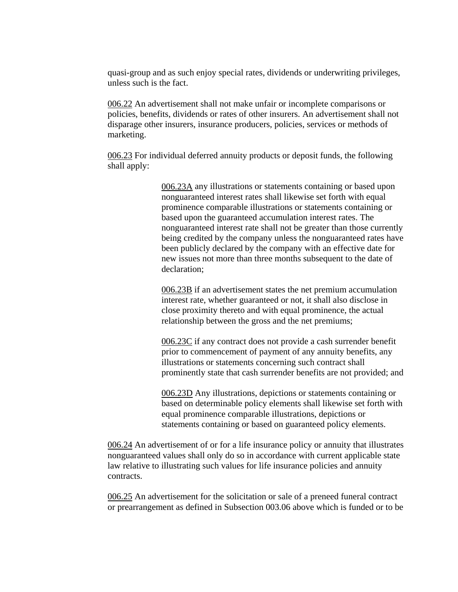quasi-group and as such enjoy special rates, dividends or underwriting privileges, unless such is the fact.

006.22 An advertisement shall not make unfair or incomplete comparisons or policies, benefits, dividends or rates of other insurers. An advertisement shall not disparage other insurers, insurance producers, policies, services or methods of marketing.

006.23 For individual deferred annuity products or deposit funds, the following shall apply:

> 006.23A any illustrations or statements containing or based upon nonguaranteed interest rates shall likewise set forth with equal prominence comparable illustrations or statements containing or based upon the guaranteed accumulation interest rates. The nonguaranteed interest rate shall not be greater than those currently being credited by the company unless the nonguaranteed rates have been publicly declared by the company with an effective date for new issues not more than three months subsequent to the date of declaration;

006.23B if an advertisement states the net premium accumulation interest rate, whether guaranteed or not, it shall also disclose in close proximity thereto and with equal prominence, the actual relationship between the gross and the net premiums;

006.23C if any contract does not provide a cash surrender benefit prior to commencement of payment of any annuity benefits, any illustrations or statements concerning such contract shall prominently state that cash surrender benefits are not provided; and

006.23D Any illustrations, depictions or statements containing or based on determinable policy elements shall likewise set forth with equal prominence comparable illustrations, depictions or statements containing or based on guaranteed policy elements.

006.24 An advertisement of or for a life insurance policy or annuity that illustrates nonguaranteed values shall only do so in accordance with current applicable state law relative to illustrating such values for life insurance policies and annuity contracts.

006.25 An advertisement for the solicitation or sale of a preneed funeral contract or prearrangement as defined in Subsection 003.06 above which is funded or to be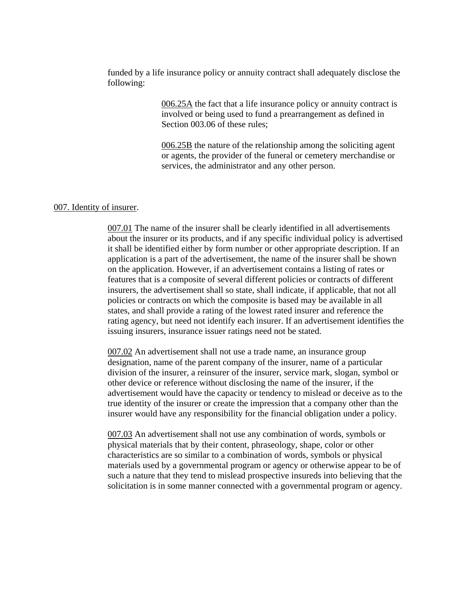funded by a life insurance policy or annuity contract shall adequately disclose the following:

> 006.25A the fact that a life insurance policy or annuity contract is involved or being used to fund a prearrangement as defined in Section 003.06 of these rules;

006.25B the nature of the relationship among the soliciting agent or agents, the provider of the funeral or cemetery merchandise or services, the administrator and any other person.

#### 007. Identity of insurer.

007.01 The name of the insurer shall be clearly identified in all advertisements about the insurer or its products, and if any specific individual policy is advertised it shall be identified either by form number or other appropriate description. If an application is a part of the advertisement, the name of the insurer shall be shown on the application. However, if an advertisement contains a listing of rates or features that is a composite of several different policies or contracts of different insurers, the advertisement shall so state, shall indicate, if applicable, that not all policies or contracts on which the composite is based may be available in all states, and shall provide a rating of the lowest rated insurer and reference the rating agency, but need not identify each insurer. If an advertisement identifies the issuing insurers, insurance issuer ratings need not be stated.

007.02 An advertisement shall not use a trade name, an insurance group designation, name of the parent company of the insurer, name of a particular division of the insurer, a reinsurer of the insurer, service mark, slogan, symbol or other device or reference without disclosing the name of the insurer, if the advertisement would have the capacity or tendency to mislead or deceive as to the true identity of the insurer or create the impression that a company other than the insurer would have any responsibility for the financial obligation under a policy.

007.03 An advertisement shall not use any combination of words, symbols or physical materials that by their content, phraseology, shape, color or other characteristics are so similar to a combination of words, symbols or physical materials used by a governmental program or agency or otherwise appear to be of such a nature that they tend to mislead prospective insureds into believing that the solicitation is in some manner connected with a governmental program or agency.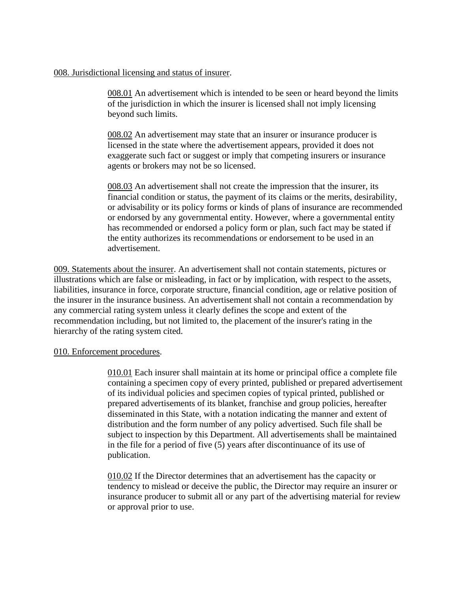## 008. Jurisdictional licensing and status of insurer.

008.01 An advertisement which is intended to be seen or heard beyond the limits of the jurisdiction in which the insurer is licensed shall not imply licensing beyond such limits.

008.02 An advertisement may state that an insurer or insurance producer is licensed in the state where the advertisement appears, provided it does not exaggerate such fact or suggest or imply that competing insurers or insurance agents or brokers may not be so licensed.

008.03 An advertisement shall not create the impression that the insurer, its financial condition or status, the payment of its claims or the merits, desirability, or advisability or its policy forms or kinds of plans of insurance are recommended or endorsed by any governmental entity. However, where a governmental entity has recommended or endorsed a policy form or plan, such fact may be stated if the entity authorizes its recommendations or endorsement to be used in an advertisement.

009. Statements about the insurer. An advertisement shall not contain statements, pictures or illustrations which are false or misleading, in fact or by implication, with respect to the assets, liabilities, insurance in force, corporate structure, financial condition, age or relative position of the insurer in the insurance business. An advertisement shall not contain a recommendation by any commercial rating system unless it clearly defines the scope and extent of the recommendation including, but not limited to, the placement of the insurer's rating in the hierarchy of the rating system cited.

### 010. Enforcement procedures.

010.01 Each insurer shall maintain at its home or principal office a complete file containing a specimen copy of every printed, published or prepared advertisement of its individual policies and specimen copies of typical printed, published or prepared advertisements of its blanket, franchise and group policies, hereafter disseminated in this State, with a notation indicating the manner and extent of distribution and the form number of any policy advertised. Such file shall be subject to inspection by this Department. All advertisements shall be maintained in the file for a period of five (5) years after discontinuance of its use of publication.

010.02 If the Director determines that an advertisement has the capacity or tendency to mislead or deceive the public, the Director may require an insurer or insurance producer to submit all or any part of the advertising material for review or approval prior to use.